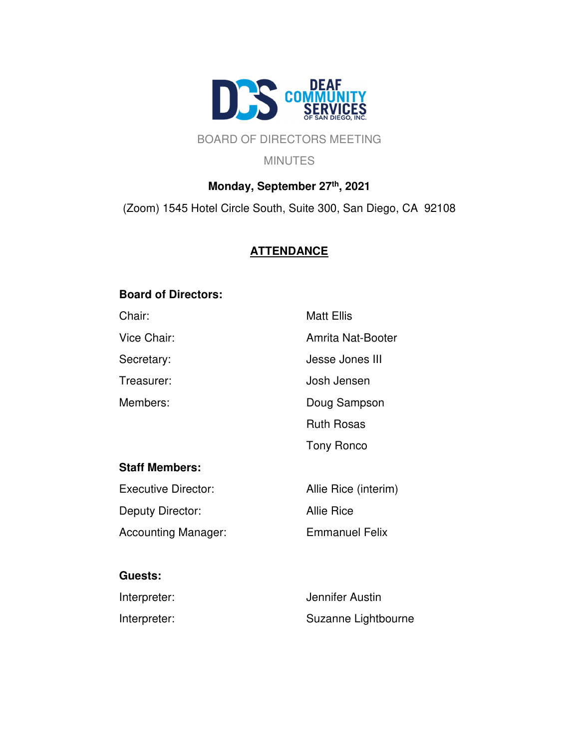

## BOARD OF DIRECTORS MEETING

**MINUTES** 

# **Monday, September 27th, 2021** (Zoom) 1545 Hotel Circle South, Suite 300, San Diego, CA 92108

# **ATTENDANCE**

## **Board of Directors:**

| Chair:                     | <b>Matt Ellis</b>      |
|----------------------------|------------------------|
| Vice Chair:                | Amrita Nat-Booter      |
| Secretary:                 | <b>Jesse Jones III</b> |
| Treasurer:                 | Josh Jensen            |
| Members:                   | Doug Sampson           |
|                            | <b>Ruth Rosas</b>      |
|                            | <b>Tony Ronco</b>      |
| <b>Staff Members:</b>      |                        |
| <b>Executive Director:</b> | Allie Rice (interim)   |
| Deputy Director:           | <b>Allie Rice</b>      |
| <b>Accounting Manager:</b> | <b>Emmanuel Felix</b>  |
|                            |                        |
| <b>Guests:</b>             |                        |
|                            |                        |

| Interpreter: | Jennifer Austin     |
|--------------|---------------------|
| Interpreter: | Suzanne Lightbourne |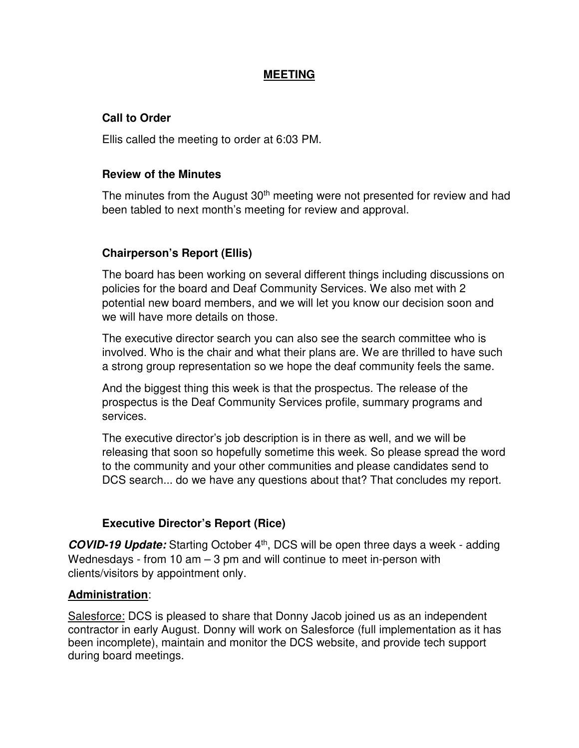### **MEETING**

### **Call to Order**

Ellis called the meeting to order at 6:03 PM.

### **Review of the Minutes**

The minutes from the August 30<sup>th</sup> meeting were not presented for review and had been tabled to next month's meeting for review and approval.

## **Chairperson's Report (Ellis)**

The board has been working on several different things including discussions on policies for the board and Deaf Community Services. We also met with 2 potential new board members, and we will let you know our decision soon and we will have more details on those.

The executive director search you can also see the search committee who is involved. Who is the chair and what their plans are. We are thrilled to have such a strong group representation so we hope the deaf community feels the same.

And the biggest thing this week is that the prospectus. The release of the prospectus is the Deaf Community Services profile, summary programs and services.

The executive director's job description is in there as well, and we will be releasing that soon so hopefully sometime this week. So please spread the word to the community and your other communities and please candidates send to DCS search... do we have any questions about that? That concludes my report.

## **Executive Director's Report (Rice)**

**COVID-19 Update:** Starting October 4th, DCS will be open three days a week - adding Wednesdays - from 10  $am - 3$  pm and will continue to meet in-person with clients/visitors by appointment only.

## **Administration**:

Salesforce: DCS is pleased to share that Donny Jacob joined us as an independent contractor in early August. Donny will work on Salesforce (full implementation as it has been incomplete), maintain and monitor the DCS website, and provide tech support during board meetings.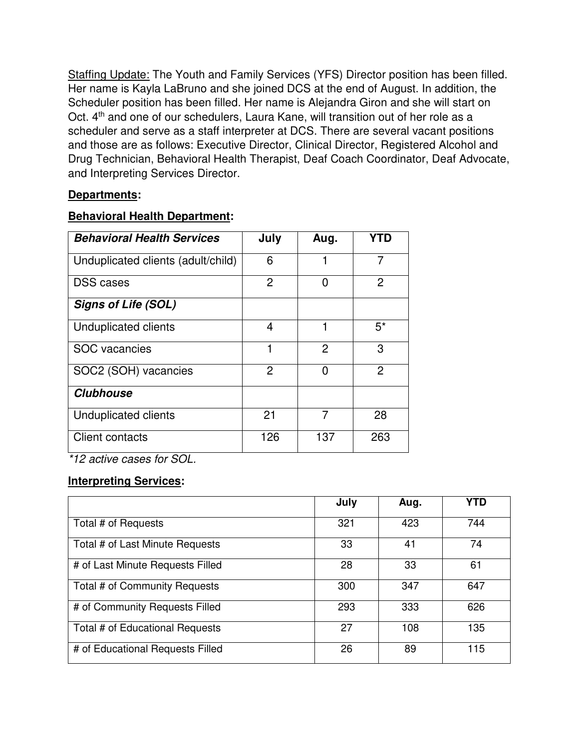Staffing Update: The Youth and Family Services (YFS) Director position has been filled. Her name is Kayla LaBruno and she joined DCS at the end of August. In addition, the Scheduler position has been filled. Her name is Alejandra Giron and she will start on Oct. 4<sup>th</sup> and one of our schedulers, Laura Kane, will transition out of her role as a scheduler and serve as a staff interpreter at DCS. There are several vacant positions and those are as follows: Executive Director, Clinical Director, Registered Alcohol and Drug Technician, Behavioral Health Therapist, Deaf Coach Coordinator, Deaf Advocate, and Interpreting Services Director.

## **Departments:**

## **Behavioral Health Department:**

| <b>Behavioral Health Services</b>  | July | Aug.           | YTD            |
|------------------------------------|------|----------------|----------------|
| Unduplicated clients (adult/child) | 6    |                | 7              |
| <b>DSS</b> cases                   | 2    | 0              | 2              |
| <b>Signs of Life (SOL)</b>         |      |                |                |
| <b>Unduplicated clients</b>        | 4    |                | $5^*$          |
| <b>SOC</b> vacancies               | 1    | $\overline{2}$ | 3              |
| SOC2 (SOH) vacancies               | 2    | ∩              | $\overline{2}$ |
| <b>Clubhouse</b>                   |      |                |                |
| <b>Unduplicated clients</b>        | 21   | 7              | 28             |
| <b>Client contacts</b>             | 126  | 137            | 263            |

\*12 active cases for SOL.

## **Interpreting Services:**

|                                  | July | Aug. | YTD |
|----------------------------------|------|------|-----|
| Total # of Requests              | 321  | 423  | 744 |
| Total # of Last Minute Requests  | 33   | 41   | 74  |
| # of Last Minute Requests Filled | 28   | 33   | 61  |
| Total # of Community Requests    | 300  | 347  | 647 |
| # of Community Requests Filled   | 293  | 333  | 626 |
| Total # of Educational Requests  | 27   | 108  | 135 |
| # of Educational Requests Filled | 26   | 89   | 115 |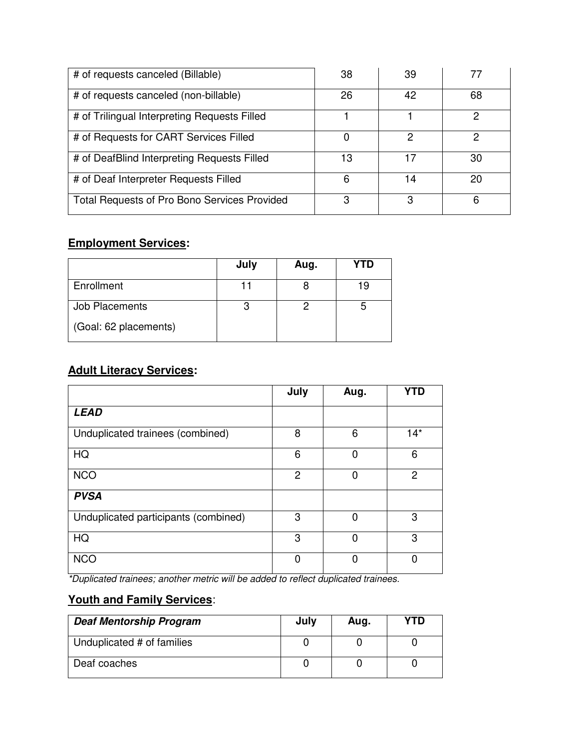| # of requests canceled (Billable)            | 38 | 39 |    |
|----------------------------------------------|----|----|----|
| # of requests canceled (non-billable)        | 26 | 42 | 68 |
| # of Trilingual Interpreting Requests Filled |    |    |    |
| # of Requests for CART Services Filled       | O  | 2  |    |
| # of DeafBlind Interpreting Requests Filled  | 13 | 17 | 30 |
| # of Deaf Interpreter Requests Filled        | 6  | 14 | 20 |
| Total Requests of Pro Bono Services Provided | 3  | 3  | 6  |

## **Employment Services:**

|                       | July | Aug. | YTD |
|-----------------------|------|------|-----|
| Enrollment            |      |      | 19  |
| Job Placements        |      |      |     |
| (Goal: 62 placements) |      |      |     |

# **Adult Literacy Services:**

|                                      | July           | Aug. | <b>YTD</b>     |
|--------------------------------------|----------------|------|----------------|
| <b>LEAD</b>                          |                |      |                |
| Unduplicated trainees (combined)     | 8              | 6    | $14*$          |
| HQ                                   | 6              | 0    | 6              |
| <b>NCO</b>                           | $\overline{2}$ | 0    | $\overline{2}$ |
| <b>PVSA</b>                          |                |      |                |
| Unduplicated participants (combined) | 3              | 0    | 3              |
| HQ                                   | 3              | 0    | 3              |
| <b>NCO</b>                           | O              | 0    |                |

\*Duplicated trainees; another metric will be added to reflect duplicated trainees.

# **Youth and Family Services**:

| <b>Deaf Mentorship Program</b> | July | Aug. | YTD |
|--------------------------------|------|------|-----|
| Unduplicated # of families     |      |      |     |
| Deaf coaches                   |      |      |     |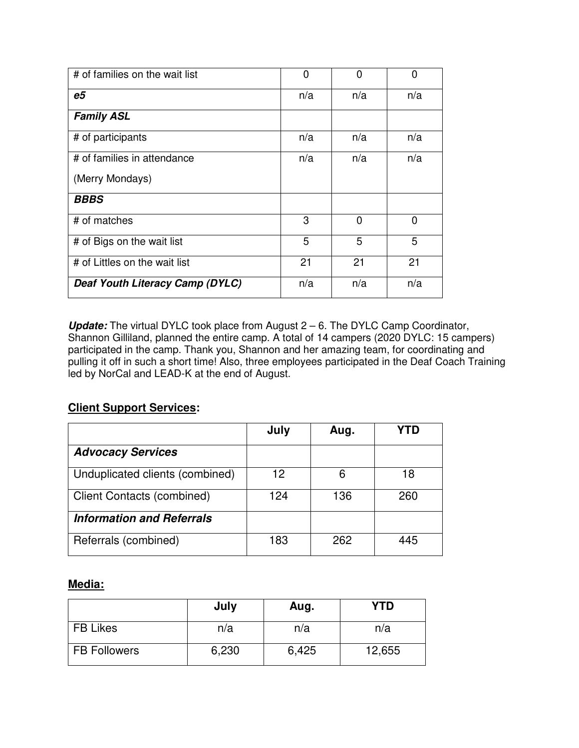| # of families on the wait list  | 0   | 0        | $\Omega$ |
|---------------------------------|-----|----------|----------|
| e5                              | n/a | n/a      | n/a      |
| <b>Family ASL</b>               |     |          |          |
| # of participants               | n/a | n/a      | n/a      |
| # of families in attendance     | n/a | n/a      | n/a      |
| (Merry Mondays)                 |     |          |          |
| <b>BBBS</b>                     |     |          |          |
| # of matches                    | 3   | $\Omega$ | 0        |
| # of Bigs on the wait list      | 5   | 5        | 5        |
| # of Littles on the wait list   | 21  | 21       | 21       |
| Deaf Youth Literacy Camp (DYLC) | n/a | n/a      | n/a      |

**Update:** The virtual DYLC took place from August 2 – 6. The DYLC Camp Coordinator, Shannon Gilliland, planned the entire camp. A total of 14 campers (2020 DYLC: 15 campers) participated in the camp. Thank you, Shannon and her amazing team, for coordinating and pulling it off in such a short time! Also, three employees participated in the Deaf Coach Training led by NorCal and LEAD-K at the end of August.

## **Client Support Services:**

|                                   | July | Aug. |     |
|-----------------------------------|------|------|-----|
| <b>Advocacy Services</b>          |      |      |     |
| Unduplicated clients (combined)   | 12   | 6    | 18  |
| <b>Client Contacts (combined)</b> | 124  | 136  | 260 |
| <b>Information and Referrals</b>  |      |      |     |
| Referrals (combined)              | 183  | 262  | 445 |

## **Media:**

|                     | July  | Aug.  | <b>YTD</b> |
|---------------------|-------|-------|------------|
| <b>FB Likes</b>     | n/a   | n/a   | n/a        |
| <b>FB Followers</b> | 6,230 | 6,425 | 12,655     |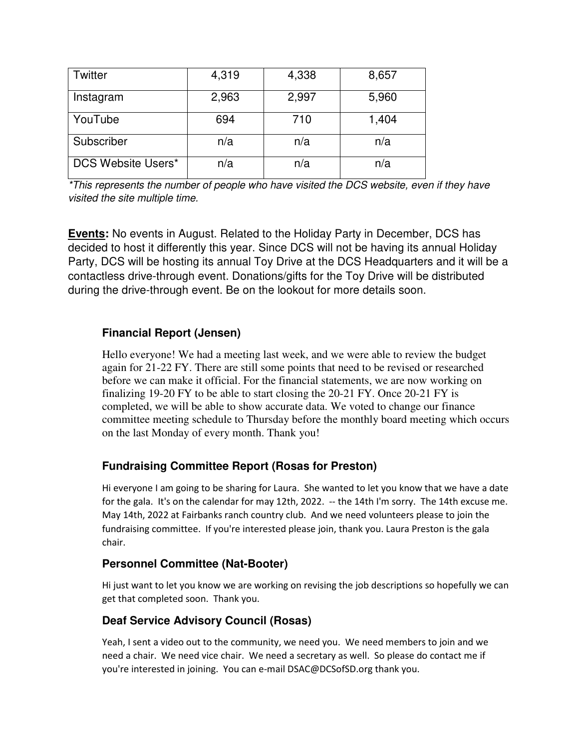| Twitter                   | 4,319 | 4,338 | 8,657 |
|---------------------------|-------|-------|-------|
| Instagram                 | 2,963 | 2,997 | 5,960 |
| YouTube                   | 694   | 710   | 1,404 |
| Subscriber                | n/a   | n/a   | n/a   |
| <b>DCS Website Users*</b> | n/a   | n/a   | n/a   |

\*This represents the number of people who have visited the DCS website, even if they have visited the site multiple time.

**Events:** No events in August. Related to the Holiday Party in December, DCS has decided to host it differently this year. Since DCS will not be having its annual Holiday Party, DCS will be hosting its annual Toy Drive at the DCS Headquarters and it will be a contactless drive-through event. Donations/gifts for the Toy Drive will be distributed during the drive-through event. Be on the lookout for more details soon.

## **Financial Report (Jensen)**

Hello everyone! We had a meeting last week, and we were able to review the budget again for 21-22 FY. There are still some points that need to be revised or researched before we can make it official. For the financial statements, we are now working on finalizing 19-20 FY to be able to start closing the 20-21 FY. Once 20-21 FY is completed, we will be able to show accurate data. We voted to change our finance committee meeting schedule to Thursday before the monthly board meeting which occurs on the last Monday of every month. Thank you!

## **Fundraising Committee Report (Rosas for Preston)**

Hi everyone I am going to be sharing for Laura. She wanted to let you know that we have a date for the gala. It's on the calendar for may 12th, 2022. -- the 14th I'm sorry. The 14th excuse me. May 14th, 2022 at Fairbanks ranch country club. And we need volunteers please to join the fundraising committee. If you're interested please join, thank you. Laura Preston is the gala chair.

### **Personnel Committee (Nat-Booter)**

Hi just want to let you know we are working on revising the job descriptions so hopefully we can get that completed soon. Thank you.

## **Deaf Service Advisory Council (Rosas)**

Yeah, I sent a video out to the community, we need you. We need members to join and we need a chair. We need vice chair. We need a secretary as well. So please do contact me if you're interested in joining. You can e-mail DSAC@DCSofSD.org thank you.